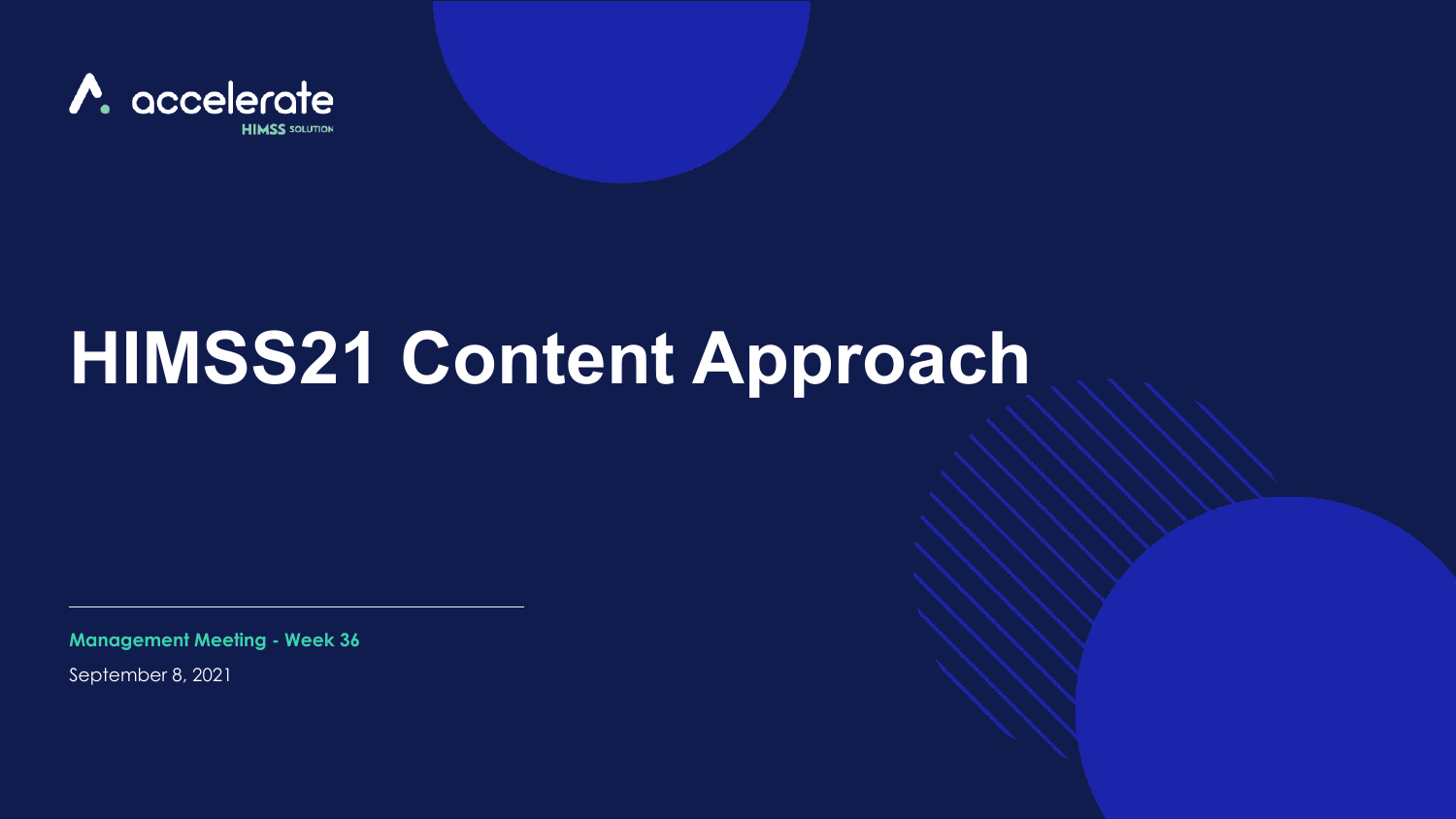

# **HIMSS21 Content Approach**

**Management Meeting - Week 36**

September 8, 2021